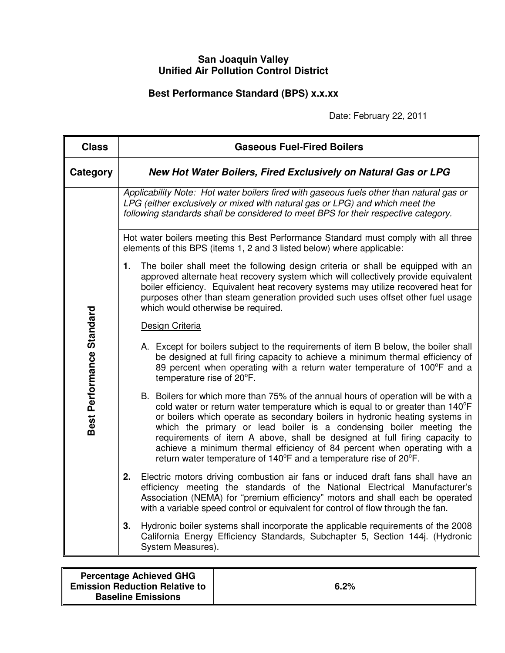## **San Joaquin Valley Unified Air Pollution Control District**

## **Best Performance Standard (BPS) x.x.xx**

Date: February 22, 2011

| <b>Class</b>              | <b>Gaseous Fuel-Fired Boilers</b>                                                                                                                                                                                                                                                                                                                                                                                                                                                                                                                          |  |  |
|---------------------------|------------------------------------------------------------------------------------------------------------------------------------------------------------------------------------------------------------------------------------------------------------------------------------------------------------------------------------------------------------------------------------------------------------------------------------------------------------------------------------------------------------------------------------------------------------|--|--|
| Category                  | New Hot Water Boilers, Fired Exclusively on Natural Gas or LPG                                                                                                                                                                                                                                                                                                                                                                                                                                                                                             |  |  |
| Best Performance Standard | Applicability Note: Hot water boilers fired with gaseous fuels other than natural gas or<br>LPG (either exclusively or mixed with natural gas or LPG) and which meet the<br>following standards shall be considered to meet BPS for their respective category.                                                                                                                                                                                                                                                                                             |  |  |
|                           | Hot water boilers meeting this Best Performance Standard must comply with all three<br>elements of this BPS (items 1, 2 and 3 listed below) where applicable:                                                                                                                                                                                                                                                                                                                                                                                              |  |  |
|                           | The boiler shall meet the following design criteria or shall be equipped with an<br>1.<br>approved alternate heat recovery system which will collectively provide equivalent<br>boiler efficiency. Equivalent heat recovery systems may utilize recovered heat for<br>purposes other than steam generation provided such uses offset other fuel usage<br>which would otherwise be required.                                                                                                                                                                |  |  |
|                           | Design Criteria                                                                                                                                                                                                                                                                                                                                                                                                                                                                                                                                            |  |  |
|                           | A. Except for boilers subject to the requirements of item B below, the boiler shall<br>be designed at full firing capacity to achieve a minimum thermal efficiency of<br>89 percent when operating with a return water temperature of 100°F and a<br>temperature rise of 20°F.                                                                                                                                                                                                                                                                             |  |  |
|                           | B. Boilers for which more than 75% of the annual hours of operation will be with a<br>cold water or return water temperature which is equal to or greater than 140°F<br>or boilers which operate as secondary boilers in hydronic heating systems in<br>which the primary or lead boiler is a condensing boiler meeting the<br>requirements of item A above, shall be designed at full firing capacity to<br>achieve a minimum thermal efficiency of 84 percent when operating with a<br>return water temperature of 140°F and a temperature rise of 20°F. |  |  |
|                           | Electric motors driving combustion air fans or induced draft fans shall have an<br>2.<br>efficiency meeting the standards of the National Electrical Manufacturer's<br>Association (NEMA) for "premium efficiency" motors and shall each be operated<br>with a variable speed control or equivalent for control of flow through the fan.                                                                                                                                                                                                                   |  |  |
|                           | 3.<br>Hydronic boiler systems shall incorporate the applicable requirements of the 2008<br>California Energy Efficiency Standards, Subchapter 5, Section 144j. (Hydronic<br>System Measures).                                                                                                                                                                                                                                                                                                                                                              |  |  |

| <b>Percentage Achieved GHG</b><br><b>Emission Reduction Relative to</b><br><b>Baseline Emissions</b> | 6.2% |
|------------------------------------------------------------------------------------------------------|------|
|                                                                                                      |      |